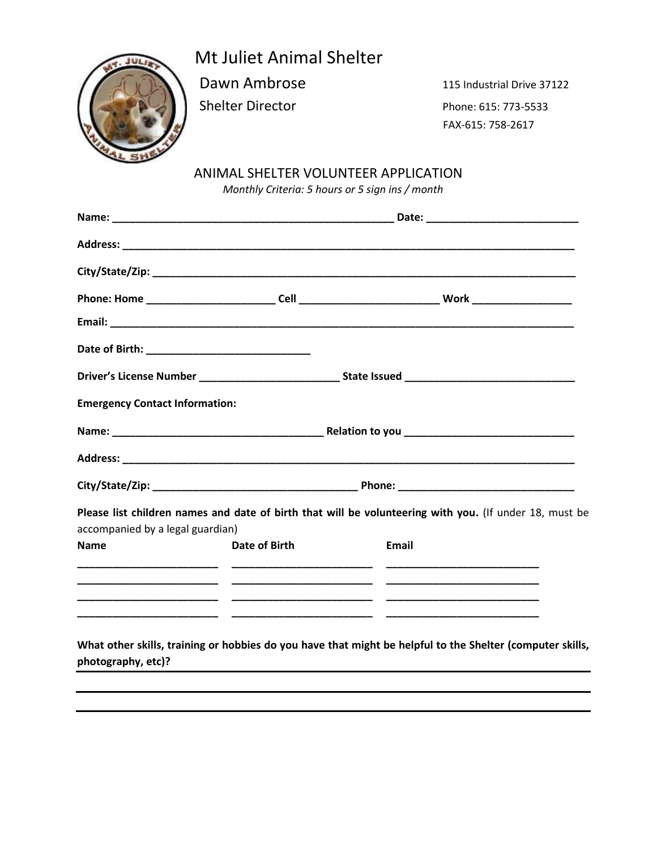## Mt Juliet Animal Shelter

Dawn Ambrose 115 Industrial Drive 37122 Shelter Director Phone: 615: 773-5533 FAX-615: 758-2617

## ANIMAL SHELTER VOLUNTEER APPLICATION

*Monthly Criteria: 5 hours or 5 sign ins / month*

| Driver's License Number ________________________________State Issued _______________________________ |               |       |                                                                                                           |
|------------------------------------------------------------------------------------------------------|---------------|-------|-----------------------------------------------------------------------------------------------------------|
| <b>Emergency Contact Information:</b>                                                                |               |       |                                                                                                           |
|                                                                                                      |               |       |                                                                                                           |
|                                                                                                      |               |       |                                                                                                           |
|                                                                                                      |               |       |                                                                                                           |
| accompanied by a legal guardian)                                                                     |               |       | Please list children names and date of birth that will be volunteering with you. (If under 18, must be    |
| <b>Name</b>                                                                                          | Date of Birth | Email |                                                                                                           |
|                                                                                                      |               |       |                                                                                                           |
|                                                                                                      |               |       |                                                                                                           |
|                                                                                                      |               |       |                                                                                                           |
|                                                                                                      |               |       | What other skills, training or hobbies do you have that might be helpful to the Shelter (computer skills, |
| photography, etc)?                                                                                   |               |       |                                                                                                           |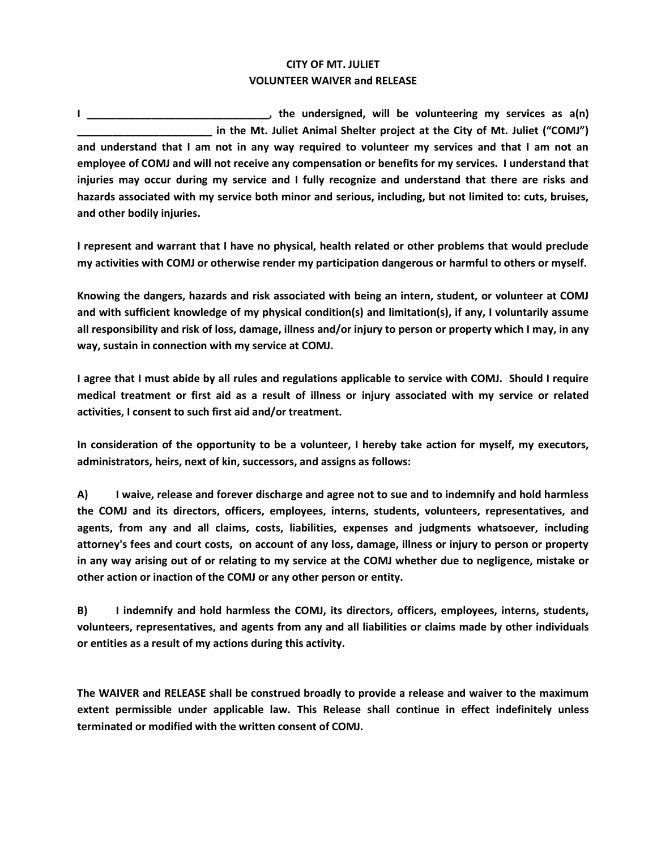## **CITY OF MT. JULIET VOLUNTEER WAIVER and RELEASE**

**I \_\_\_\_\_\_\_\_\_\_\_\_\_\_\_\_\_\_\_\_\_\_\_\_\_\_\_\_\_\_\_, the undersigned, will be volunteering my services as a(n)**  in the Mt. Juliet Animal Shelter project at the City of Mt. Juliet ("COMJ") **and understand that I am not in any way required to volunteer my services and that I am not an employee of COMJ and will not receive any compensation or benefits for my services. I understand that injuries may occur during my service and I fully recognize and understand that there are risks and hazards associated with my service both minor and serious, including, but not limited to: cuts, bruises, and other bodily injuries.** 

**I represent and warrant that I have no physical, health related or other problems that would preclude my activities with COMJ or otherwise render my participation dangerous or harmful to others or myself.**

**Knowing the dangers, hazards and risk associated with being an intern, student, or volunteer at COMJ and with sufficient knowledge of my physical condition(s) and limitation(s), if any, I voluntarily assume all responsibility and risk of loss, damage, illness and/or injury to person or property which I may, in any way, sustain in connection with my service at COMJ.** 

**I agree that I must abide by all rules and regulations applicable to service with COMJ. Should I require medical treatment or first aid as a result of illness or injury associated with my service or related activities, I consent to such first aid and/or treatment.**

**In consideration of the opportunity to be a volunteer, I hereby take action for myself, my executors, administrators, heirs, next of kin, successors, and assigns as follows:** 

**A) I waive, release and forever discharge and agree not to sue and to indemnify and hold harmless the COMJ and its directors, officers, employees, interns, students, volunteers, representatives, and agents, from any and all claims, costs, liabilities, expenses and judgments whatsoever, including attorney's fees and court costs, on account of any loss, damage, illness or injury to person or property in any way arising out of or relating to my service at the COMJ whether due to negligence, mistake or other action or inaction of the COMJ or any other person or entity.** 

**B) I indemnify and hold harmless the COMJ, its directors, officers, employees, interns, students, volunteers, representatives, and agents from any and all liabilities or claims made by other individuals or entities as a result of my actions during this activity.**

**The WAIVER and RELEASE shall be construed broadly to provide a release and waiver to the maximum extent permissible under applicable law. This Release shall continue in effect indefinitely unless terminated or modified with the written consent of COMJ.**